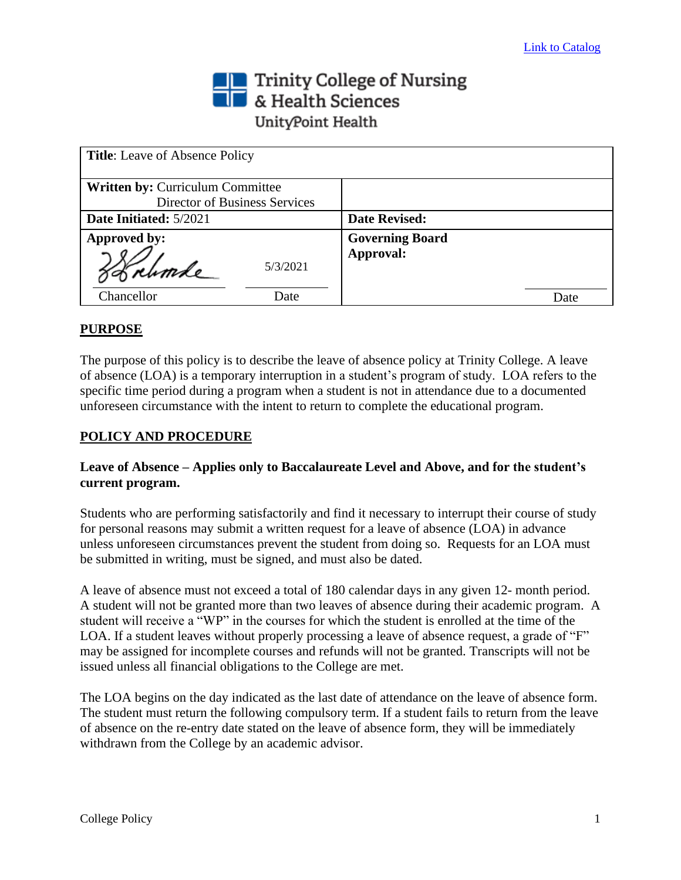## Trinity College of Nursing<br>
Sciences UnityPoint Health

| <b>Title:</b> Leave of Absence Policy |                        |
|---------------------------------------|------------------------|
| Written by: Curriculum Committee      |                        |
| Director of Business Services         |                        |
| Date Initiated: 5/2021                | <b>Date Revised:</b>   |
| Approved by:                          | <b>Governing Board</b> |
| 5/3/2021<br>grumle                    | Approval:              |
| Chancellor<br>Date                    | Date                   |

## **PURPOSE**

The purpose of this policy is to describe the leave of absence policy at Trinity College. A leave of absence (LOA) is a temporary interruption in a student's program of study. LOA refers to the specific time period during a program when a student is not in attendance due to a documented unforeseen circumstance with the intent to return to complete the educational program.

## **POLICY AND PROCEDURE**

## **Leave of Absence – Applies only to Baccalaureate Level and Above, and for the student's current program.**

Students who are performing satisfactorily and find it necessary to interrupt their course of study for personal reasons may submit a written request for a leave of absence (LOA) in advance unless unforeseen circumstances prevent the student from doing so. Requests for an LOA must be submitted in writing, must be signed, and must also be dated.

A leave of absence must not exceed a total of 180 calendar days in any given 12- month period. A student will not be granted more than two leaves of absence during their academic program. A student will receive a "WP" in the courses for which the student is enrolled at the time of the LOA. If a student leaves without properly processing a leave of absence request, a grade of "F" may be assigned for incomplete courses and refunds will not be granted. Transcripts will not be issued unless all financial obligations to the College are met.

The LOA begins on the day indicated as the last date of attendance on the leave of absence form. The student must return the following compulsory term. If a student fails to return from the leave of absence on the re-entry date stated on the leave of absence form, they will be immediately withdrawn from the College by an academic advisor.